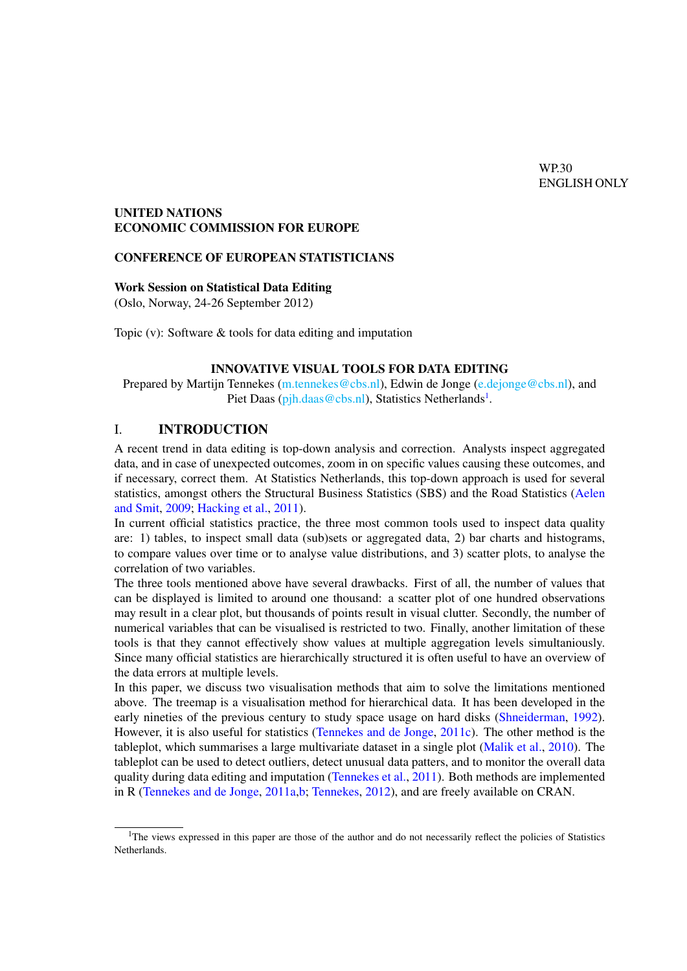## UNITED NATIONS ECONOMIC COMMISSION FOR EUROPE

#### CONFERENCE OF EUROPEAN STATISTICIANS

#### Work Session on Statistical Data Editing

(Oslo, Norway, 24-26 September 2012)

Topic (v): Software & tools for data editing and imputation

#### INNOVATIVE VISUAL TOOLS FOR DATA EDITING

Prepared by Martijn Tennekes [\(m.tennekes@cbs.nl\)](mailto:m.tennekes@cbs.nl), Edwin de Jonge [\(e.dejonge@cbs.nl\)](mailto:e.dejonge@cbs.nl), and Piet Daas [\(pjh.daas@cbs.nl\)](mailto:pjh.daas@cbs.nl), Statistics Netherlands<sup>[1](#page-0-0)</sup>.

## I. INTRODUCTION

A recent trend in data editing is top-down analysis and correction. Analysts inspect aggregated data, and in case of unexpected outcomes, zoom in on specific values causing these outcomes, and if necessary, correct them. At Statistics Netherlands, this top-down approach is used for several statistics, amongst others the Structural Business Statistics (SBS) and the Road Statistics [\(Aelen](#page-9-0) [and Smit,](#page-9-0) [2009;](#page-9-0) [Hacking et al.,](#page-9-1) [2011\)](#page-9-1).

In current official statistics practice, the three most common tools used to inspect data quality are: 1) tables, to inspect small data (sub)sets or aggregated data, 2) bar charts and histograms, to compare values over time or to analyse value distributions, and 3) scatter plots, to analyse the correlation of two variables.

The three tools mentioned above have several drawbacks. First of all, the number of values that can be displayed is limited to around one thousand: a scatter plot of one hundred observations may result in a clear plot, but thousands of points result in visual clutter. Secondly, the number of numerical variables that can be visualised is restricted to two. Finally, another limitation of these tools is that they cannot effectively show values at multiple aggregation levels simultaniously. Since many official statistics are hierarchically structured it is often useful to have an overview of the data errors at multiple levels.

In this paper, we discuss two visualisation methods that aim to solve the limitations mentioned above. The treemap is a visualisation method for hierarchical data. It has been developed in the early nineties of the previous century to study space usage on hard disks [\(Shneiderman,](#page-9-2) [1992\)](#page-9-2). However, it is also useful for statistics [\(Tennekes and de Jonge,](#page-9-3) [2011c\)](#page-9-3). The other method is the tableplot, which summarises a large multivariate dataset in a single plot [\(Malik et al.,](#page-9-4) [2010\)](#page-9-4). The tableplot can be used to detect outliers, detect unusual data patters, and to monitor the overall data quality during data editing and imputation [\(Tennekes et al.,](#page-9-5) [2011\)](#page-9-5). Both methods are implemented in R [\(Tennekes and de Jonge,](#page-9-6) [2011a,](#page-9-6)[b;](#page-9-7) [Tennekes,](#page-9-8) [2012\)](#page-9-8), and are freely available on CRAN.

<span id="page-0-0"></span><sup>&</sup>lt;sup>1</sup>The views expressed in this paper are those of the author and do not necessarily reflect the policies of Statistics Netherlands.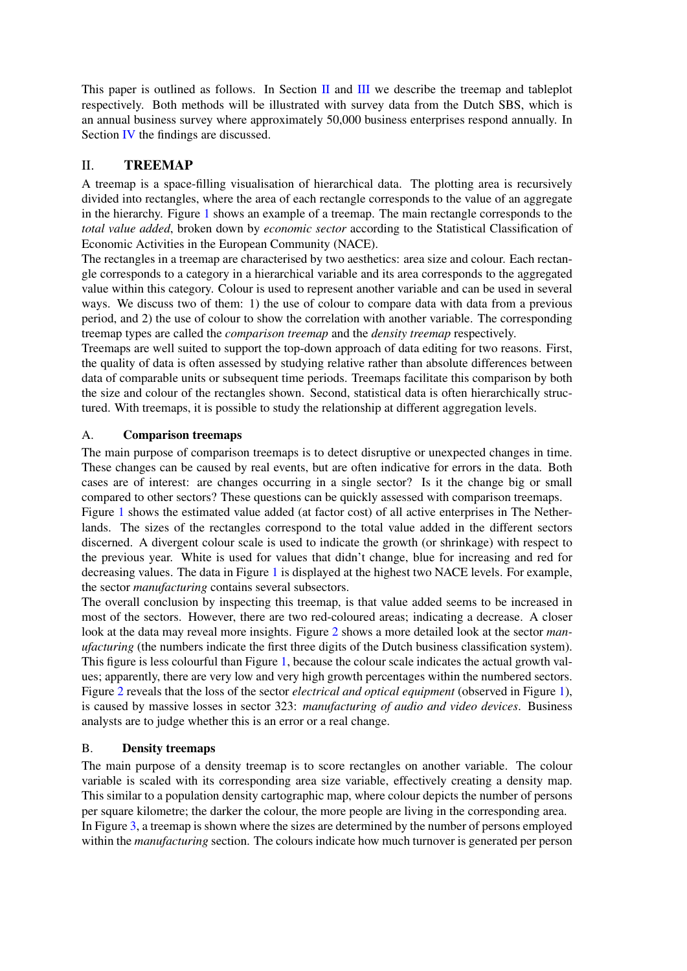This paper is outlined as follows. In Section [II](#page-1-0) and [III](#page-3-0) we describe the treemap and tableplot respectively. Both methods will be illustrated with survey data from the Dutch SBS, which is an annual business survey where approximately 50,000 business enterprises respond annually. In Section [IV](#page-8-0) the findings are discussed.

# <span id="page-1-0"></span>II. TREEMAP

A treemap is a space-filling visualisation of hierarchical data. The plotting area is recursively divided into rectangles, where the area of each rectangle corresponds to the value of an aggregate in the hierarchy. Figure [1](#page-2-0) shows an example of a treemap. The main rectangle corresponds to the *total value added*, broken down by *economic sector* according to the Statistical Classification of Economic Activities in the European Community (NACE).

The rectangles in a treemap are characterised by two aesthetics: area size and colour. Each rectangle corresponds to a category in a hierarchical variable and its area corresponds to the aggregated value within this category. Colour is used to represent another variable and can be used in several ways. We discuss two of them: 1) the use of colour to compare data with data from a previous period, and 2) the use of colour to show the correlation with another variable. The corresponding treemap types are called the *comparison treemap* and the *density treemap* respectively.

Treemaps are well suited to support the top-down approach of data editing for two reasons. First, the quality of data is often assessed by studying relative rather than absolute differences between data of comparable units or subsequent time periods. Treemaps facilitate this comparison by both the size and colour of the rectangles shown. Second, statistical data is often hierarchically structured. With treemaps, it is possible to study the relationship at different aggregation levels.

## A. Comparison treemaps

The main purpose of comparison treemaps is to detect disruptive or unexpected changes in time. These changes can be caused by real events, but are often indicative for errors in the data. Both cases are of interest: are changes occurring in a single sector? Is it the change big or small compared to other sectors? These questions can be quickly assessed with comparison treemaps.

Figure [1](#page-2-0) shows the estimated value added (at factor cost) of all active enterprises in The Netherlands. The sizes of the rectangles correspond to the total value added in the different sectors discerned. A divergent colour scale is used to indicate the growth (or shrinkage) with respect to the previous year. White is used for values that didn't change, blue for increasing and red for decreasing values. The data in Figure [1](#page-2-0) is displayed at the highest two NACE levels. For example, the sector *manufacturing* contains several subsectors.

The overall conclusion by inspecting this treemap, is that value added seems to be increased in most of the sectors. However, there are two red-coloured areas; indicating a decrease. A closer look at the data may reveal more insights. Figure [2](#page-3-1) shows a more detailed look at the sector *manufacturing* (the numbers indicate the first three digits of the Dutch business classification system). This figure is less colourful than Figure [1,](#page-2-0) because the colour scale indicates the actual growth values; apparently, there are very low and very high growth percentages within the numbered sectors. Figure [2](#page-3-1) reveals that the loss of the sector *electrical and optical equipment* (observed in Figure [1\)](#page-2-0), is caused by massive losses in sector 323: *manufacturing of audio and video devices*. Business analysts are to judge whether this is an error or a real change.

## B. Density treemaps

The main purpose of a density treemap is to score rectangles on another variable. The colour variable is scaled with its corresponding area size variable, effectively creating a density map. This similar to a population density cartographic map, where colour depicts the number of persons per square kilometre; the darker the colour, the more people are living in the corresponding area. In Figure [3,](#page-4-0) a treemap is shown where the sizes are determined by the number of persons employed within the *manufacturing* section. The colours indicate how much turnover is generated per person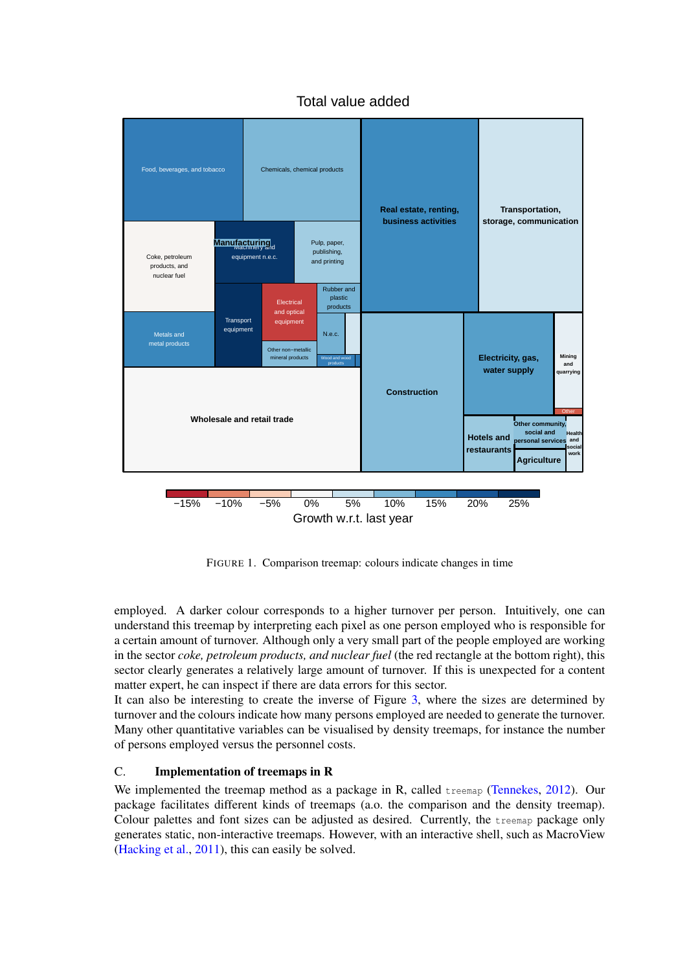<span id="page-2-0"></span>

Total value added

FIGURE 1. Comparison treemap: colours indicate changes in time

employed. A darker colour corresponds to a higher turnover per person. Intuitively, one can understand this treemap by interpreting each pixel as one person employed who is responsible for a certain amount of turnover. Although only a very small part of the people employed are working in the sector *coke, petroleum products, and nuclear fuel* (the red rectangle at the bottom right), this sector clearly generates a relatively large amount of turnover. If this is unexpected for a content matter expert, he can inspect if there are data errors for this sector.

It can also be interesting to create the inverse of Figure [3,](#page-4-0) where the sizes are determined by turnover and the colours indicate how many persons employed are needed to generate the turnover. Many other quantitative variables can be visualised by density treemaps, for instance the number of persons employed versus the personnel costs.

## C. Implementation of treemaps in R

We implemented the treemap method as a package in R, called treemap [\(Tennekes,](#page-9-8) [2012\)](#page-9-8). Our package facilitates different kinds of treemaps (a.o. the comparison and the density treemap). Colour palettes and font sizes can be adjusted as desired. Currently, the treemap package only generates static, non-interactive treemaps. However, with an interactive shell, such as MacroView [\(Hacking et al.,](#page-9-1) [2011\)](#page-9-1), this can easily be solved.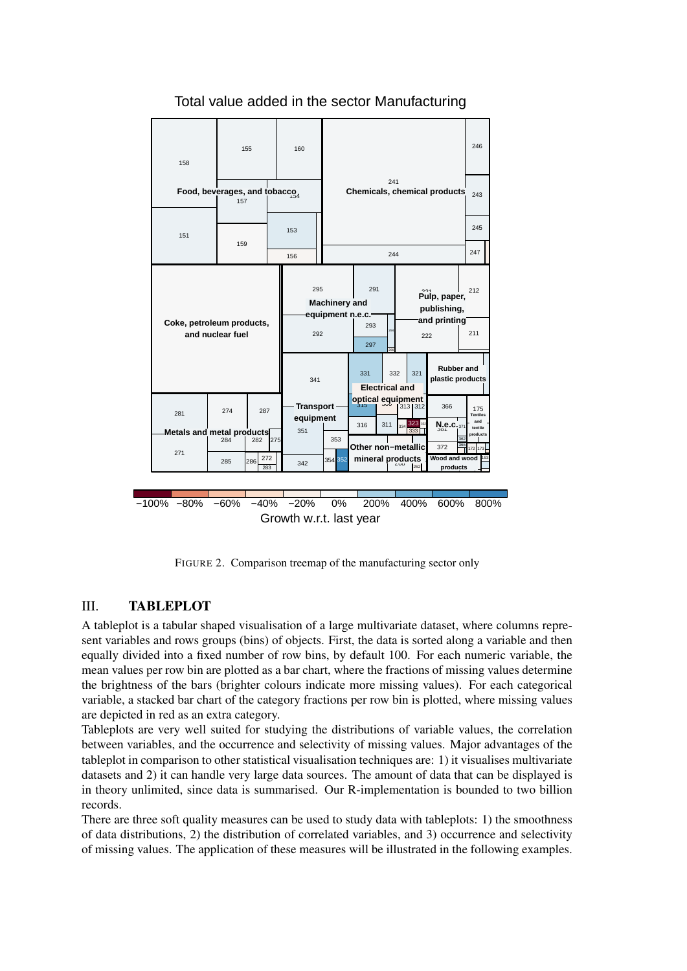<span id="page-3-1"></span>

## Total value added in the sector Manufacturing

FIGURE 2. Comparison treemap of the manufacturing sector only

## <span id="page-3-0"></span>III. TABLEPLOT

A tableplot is a tabular shaped visualisation of a large multivariate dataset, where columns represent variables and rows groups (bins) of objects. First, the data is sorted along a variable and then equally divided into a fixed number of row bins, by default 100. For each numeric variable, the mean values per row bin are plotted as a bar chart, where the fractions of missing values determine the brightness of the bars (brighter colours indicate more missing values). For each categorical variable, a stacked bar chart of the category fractions per row bin is plotted, where missing values are depicted in red as an extra category.

Tableplots are very well suited for studying the distributions of variable values, the correlation between variables, and the occurrence and selectivity of missing values. Major advantages of the tableplot in comparison to other statistical visualisation techniques are: 1) it visualises multivariate datasets and 2) it can handle very large data sources. The amount of data that can be displayed is in theory unlimited, since data is summarised. Our R-implementation is bounded to two billion records.

There are three soft quality measures can be used to study data with tableplots: 1) the smoothness of data distributions, 2) the distribution of correlated variables, and 3) occurrence and selectivity of missing values. The application of these measures will be illustrated in the following examples.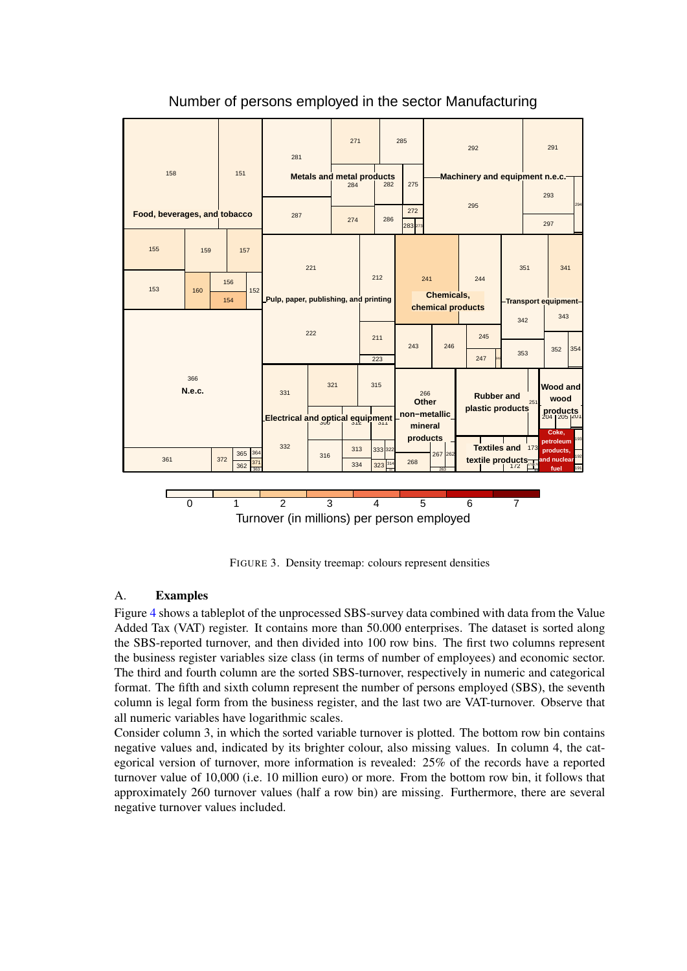<span id="page-4-0"></span>

Number of persons employed in the sector Manufacturing

FIGURE 3. Density treemap: colours represent densities

## A. Examples

Figure [4](#page-5-0) shows a tableplot of the unprocessed SBS-survey data combined with data from the Value Added Tax (VAT) register. It contains more than 50.000 enterprises. The dataset is sorted along the SBS-reported turnover, and then divided into 100 row bins. The first two columns represent the business register variables size class (in terms of number of employees) and economic sector. The third and fourth column are the sorted SBS-turnover, respectively in numeric and categorical format. The fifth and sixth column represent the number of persons employed (SBS), the seventh column is legal form from the business register, and the last two are VAT-turnover. Observe that all numeric variables have logarithmic scales.

Consider column 3, in which the sorted variable turnover is plotted. The bottom row bin contains negative values and, indicated by its brighter colour, also missing values. In column 4, the categorical version of turnover, more information is revealed: 25% of the records have a reported turnover value of 10,000 (i.e. 10 million euro) or more. From the bottom row bin, it follows that approximately 260 turnover values (half a row bin) are missing. Furthermore, there are several negative turnover values included.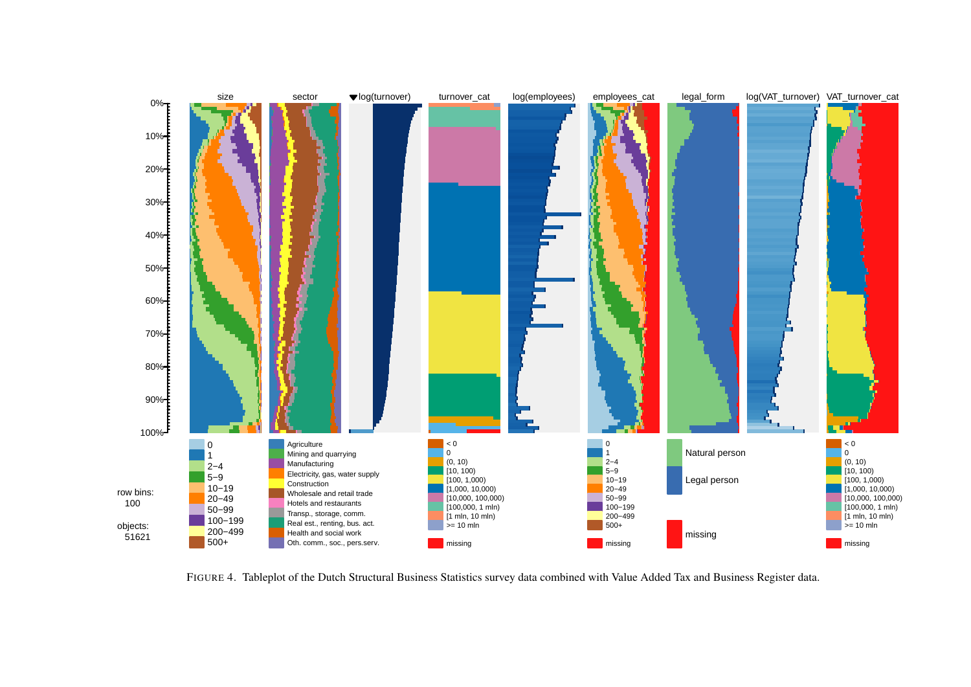

<span id="page-5-0"></span>FIGURE 4. Tableplot of the Dutch Structural Business Statistics survey data combined with Value Added Tax and Business Register data.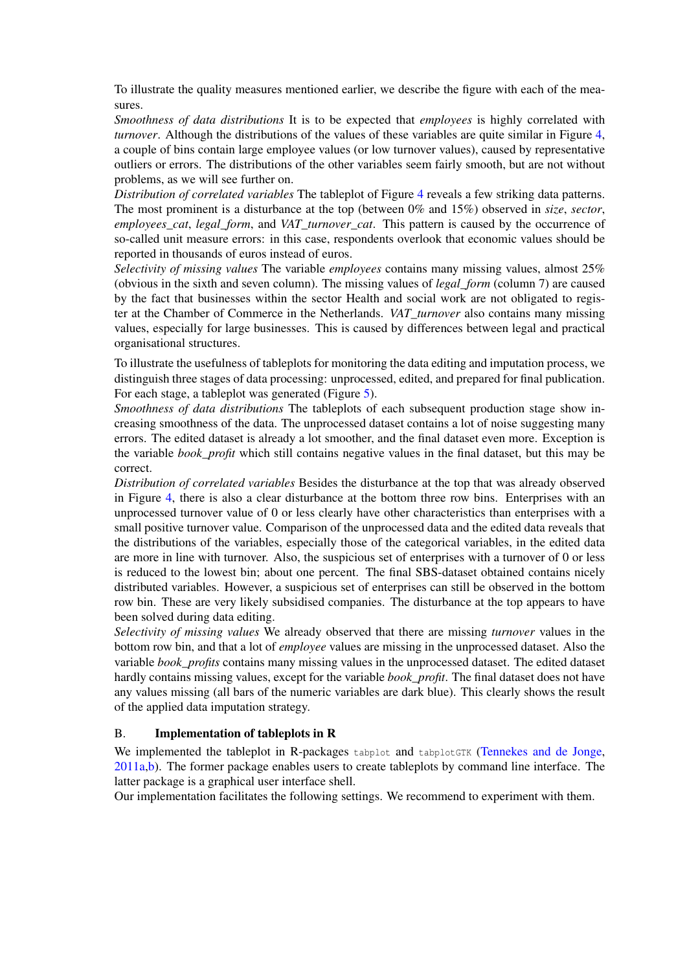To illustrate the quality measures mentioned earlier, we describe the figure with each of the measures.

*Smoothness of data distributions* It is to be expected that *employees* is highly correlated with *turnover*. Although the distributions of the values of these variables are quite similar in Figure [4,](#page-5-0) a couple of bins contain large employee values (or low turnover values), caused by representative outliers or errors. The distributions of the other variables seem fairly smooth, but are not without problems, as we will see further on.

*Distribution of correlated variables* The tableplot of Figure [4](#page-5-0) reveals a few striking data patterns. The most prominent is a disturbance at the top (between 0% and 15%) observed in *size*, *sector*, *employees\_cat*, *legal\_form*, and *VAT\_turnover\_cat*. This pattern is caused by the occurrence of so-called unit measure errors: in this case, respondents overlook that economic values should be reported in thousands of euros instead of euros.

*Selectivity of missing values* The variable *employees* contains many missing values, almost 25% (obvious in the sixth and seven column). The missing values of *legal\_form* (column 7) are caused by the fact that businesses within the sector Health and social work are not obligated to register at the Chamber of Commerce in the Netherlands. *VAT\_turnover* also contains many missing values, especially for large businesses. This is caused by differences between legal and practical organisational structures.

To illustrate the usefulness of tableplots for monitoring the data editing and imputation process, we distinguish three stages of data processing: unprocessed, edited, and prepared for final publication. For each stage, a tableplot was generated (Figure [5\)](#page-7-0).

*Smoothness of data distributions* The tableplots of each subsequent production stage show increasing smoothness of the data. The unprocessed dataset contains a lot of noise suggesting many errors. The edited dataset is already a lot smoother, and the final dataset even more. Exception is the variable *book\_profit* which still contains negative values in the final dataset, but this may be correct.

*Distribution of correlated variables* Besides the disturbance at the top that was already observed in Figure [4,](#page-5-0) there is also a clear disturbance at the bottom three row bins. Enterprises with an unprocessed turnover value of 0 or less clearly have other characteristics than enterprises with a small positive turnover value. Comparison of the unprocessed data and the edited data reveals that the distributions of the variables, especially those of the categorical variables, in the edited data are more in line with turnover. Also, the suspicious set of enterprises with a turnover of 0 or less is reduced to the lowest bin; about one percent. The final SBS-dataset obtained contains nicely distributed variables. However, a suspicious set of enterprises can still be observed in the bottom row bin. These are very likely subsidised companies. The disturbance at the top appears to have been solved during data editing.

*Selectivity of missing values* We already observed that there are missing *turnover* values in the bottom row bin, and that a lot of *employee* values are missing in the unprocessed dataset. Also the variable *book\_profits* contains many missing values in the unprocessed dataset. The edited dataset hardly contains missing values, except for the variable *book\_profit*. The final dataset does not have any values missing (all bars of the numeric variables are dark blue). This clearly shows the result of the applied data imputation strategy.

## B. Implementation of tableplots in R

We implemented the tableplot in R-packages tabplot and tabplotGTK [\(Tennekes and de Jonge,](#page-9-6) [2011a,](#page-9-6)[b\)](#page-9-7). The former package enables users to create tableplots by command line interface. The latter package is a graphical user interface shell.

Our implementation facilitates the following settings. We recommend to experiment with them.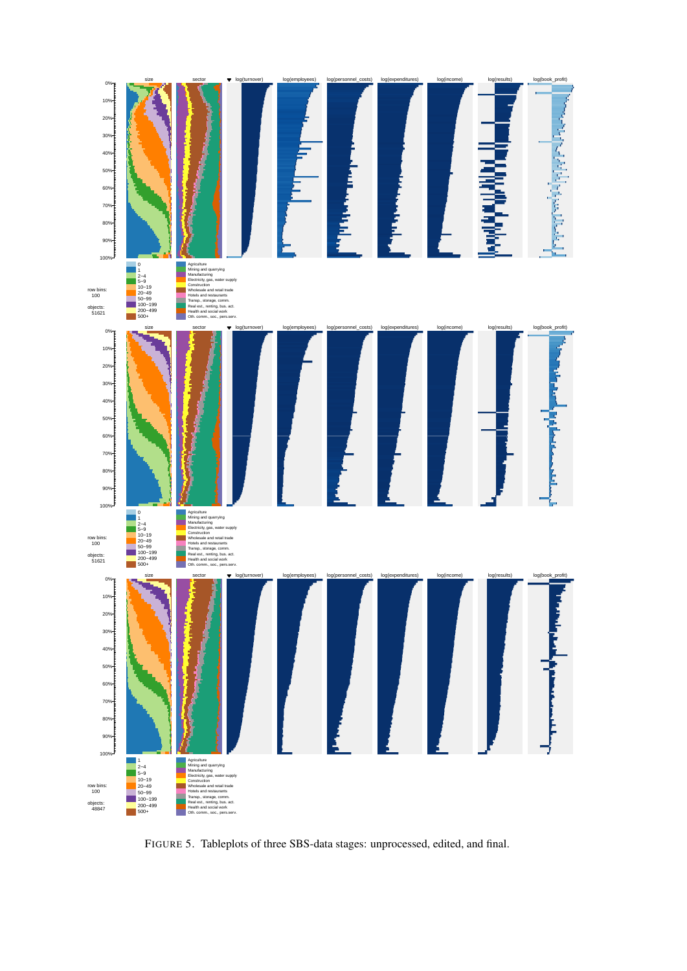<span id="page-7-0"></span>

FIGURE 5. Tableplots of three SBS-data stages: unprocessed, edited, and final.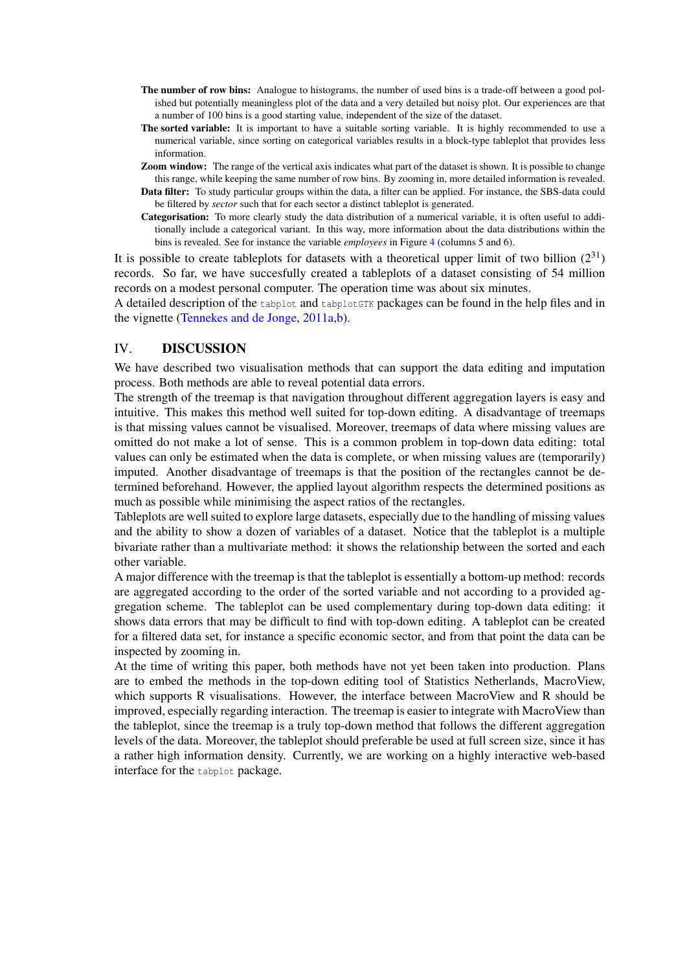- The number of row bins: Analogue to histograms, the number of used bins is a trade-off between a good polished but potentially meaningless plot of the data and a very detailed but noisy plot. Our experiences are that a number of 100 bins is a good starting value, independent of the size of the dataset.
- The sorted variable: It is important to have a suitable sorting variable. It is highly recommended to use a numerical variable, since sorting on categorical variables results in a block-type tableplot that provides less information.
- **Zoom window:** The range of the vertical axis indicates what part of the dataset is shown. It is possible to change this range, while keeping the same number of row bins. By zooming in, more detailed information is revealed.
- Data filter: To study particular groups within the data, a filter can be applied. For instance, the SBS-data could be filtered by *sector* such that for each sector a distinct tableplot is generated.
- Categorisation: To more clearly study the data distribution of a numerical variable, it is often useful to additionally include a categorical variant. In this way, more information about the data distributions within the bins is revealed. See for instance the variable *employees* in Figure [4](#page-5-0) (columns 5 and 6).

It is possible to create tableplots for datasets with a theoretical upper limit of two billion  $(2^{31})$ records. So far, we have succesfully created a tableplots of a dataset consisting of 54 million records on a modest personal computer. The operation time was about six minutes.

A detailed description of the tabplot and tabplotGTK packages can be found in the help files and in the vignette [\(Tennekes and de Jonge,](#page-9-6) [2011a,](#page-9-6)[b\)](#page-9-7).

#### <span id="page-8-0"></span>IV. DISCUSSION

We have described two visualisation methods that can support the data editing and imputation process. Both methods are able to reveal potential data errors.

The strength of the treemap is that navigation throughout different aggregation layers is easy and intuitive. This makes this method well suited for top-down editing. A disadvantage of treemaps is that missing values cannot be visualised. Moreover, treemaps of data where missing values are omitted do not make a lot of sense. This is a common problem in top-down data editing: total values can only be estimated when the data is complete, or when missing values are (temporarily) imputed. Another disadvantage of treemaps is that the position of the rectangles cannot be determined beforehand. However, the applied layout algorithm respects the determined positions as much as possible while minimising the aspect ratios of the rectangles.

Tableplots are well suited to explore large datasets, especially due to the handling of missing values and the ability to show a dozen of variables of a dataset. Notice that the tableplot is a multiple bivariate rather than a multivariate method: it shows the relationship between the sorted and each other variable.

A major difference with the treemap is that the tableplot is essentially a bottom-up method: records are aggregated according to the order of the sorted variable and not according to a provided aggregation scheme. The tableplot can be used complementary during top-down data editing: it shows data errors that may be difficult to find with top-down editing. A tableplot can be created for a filtered data set, for instance a specific economic sector, and from that point the data can be inspected by zooming in.

At the time of writing this paper, both methods have not yet been taken into production. Plans are to embed the methods in the top-down editing tool of Statistics Netherlands, MacroView, which supports R visualisations. However, the interface between MacroView and R should be improved, especially regarding interaction. The treemap is easier to integrate with MacroView than the tableplot, since the treemap is a truly top-down method that follows the different aggregation levels of the data. Moreover, the tableplot should preferable be used at full screen size, since it has a rather high information density. Currently, we are working on a highly interactive web-based interface for the tabplot package.